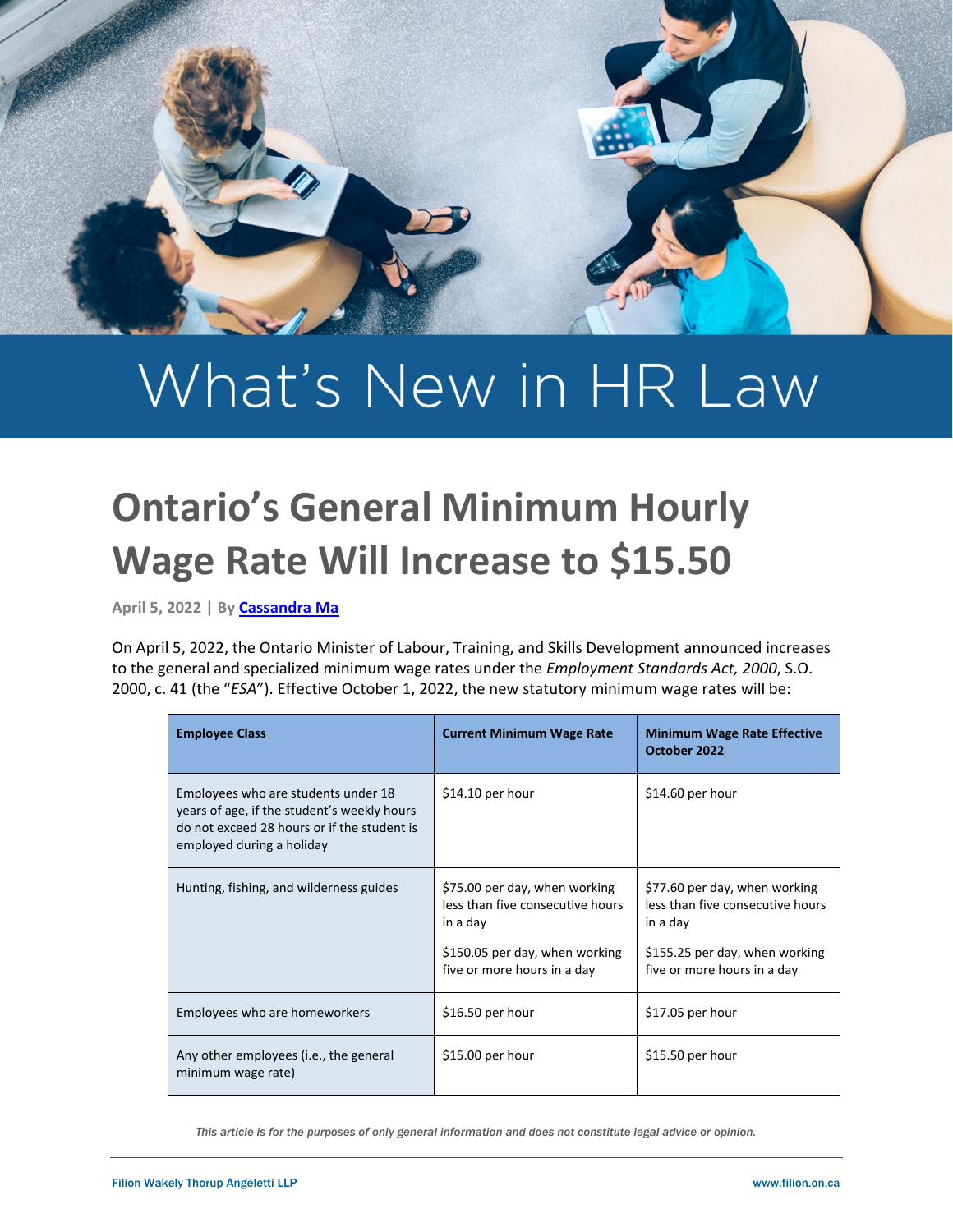

# What's New in HR Law

## **Ontario's General Minimum Hourly Wage Rate Will Increase to \$15.50**

**April 5, 2022 | B[y Cassandra Ma](https://filion.on.ca/lawyers/cassandra-ma/)**

On April 5, 2022, the Ontario Minister of Labour, Training, and Skills Development announced increases to the general and specialized minimum wage rates under the *Employment Standards Act, 2000*, S.O. 2000, c. 41 (the "*ESA*"). Effective October 1, 2022, the new statutory minimum wage rates will be:

| <b>Employee Class</b>                                                                                                                                          | <b>Current Minimum Wage Rate</b>                                                                                                               | <b>Minimum Wage Rate Effective</b><br>October 2022                                                                                             |
|----------------------------------------------------------------------------------------------------------------------------------------------------------------|------------------------------------------------------------------------------------------------------------------------------------------------|------------------------------------------------------------------------------------------------------------------------------------------------|
| Employees who are students under 18<br>years of age, if the student's weekly hours<br>do not exceed 28 hours or if the student is<br>employed during a holiday | $$14.10$ per hour                                                                                                                              | $$14.60$ per hour                                                                                                                              |
| Hunting, fishing, and wilderness guides                                                                                                                        | \$75.00 per day, when working<br>less than five consecutive hours<br>in a day<br>\$150.05 per day, when working<br>five or more hours in a day | \$77.60 per day, when working<br>less than five consecutive hours<br>in a day<br>\$155.25 per day, when working<br>five or more hours in a day |
| Employees who are homeworkers                                                                                                                                  | \$16.50 per hour                                                                                                                               | $$17.05$ per hour                                                                                                                              |
| Any other employees ( <i>i.e.</i> , the general<br>minimum wage rate)                                                                                          | $$15.00$ per hour                                                                                                                              | \$15.50 per hour                                                                                                                               |

*This article is for the purposes of only general information and does not constitute legal advice or opinion.*